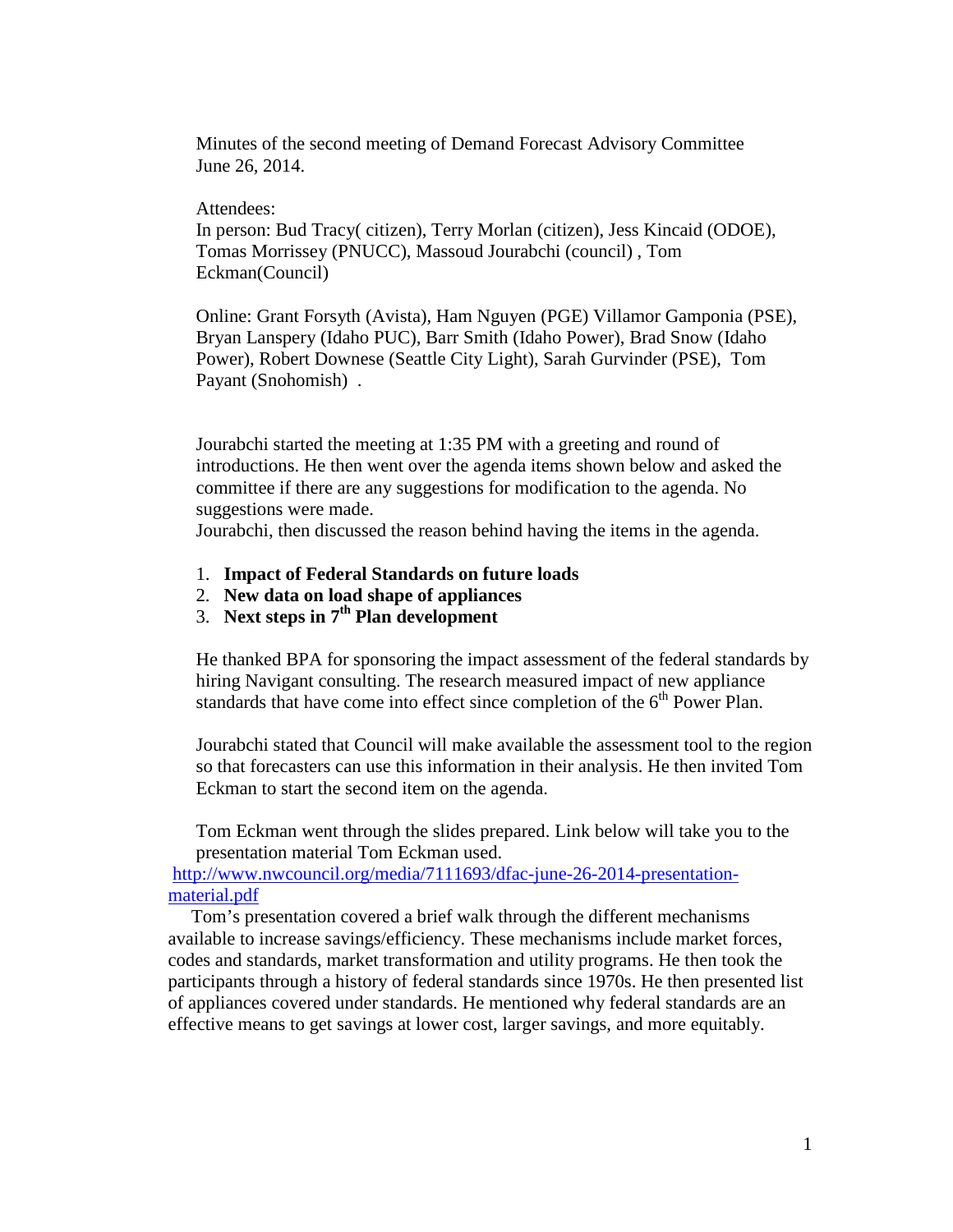Minutes of the second meeting of Demand Forecast Advisory Committee June 26, 2014.

## Attendees:

In person: Bud Tracy( citizen), Terry Morlan (citizen), Jess Kincaid (ODOE), Tomas Morrissey (PNUCC), Massoud Jourabchi (council) , Tom Eckman(Council)

Online: Grant Forsyth (Avista), Ham Nguyen (PGE) Villamor Gamponia (PSE), Bryan Lanspery (Idaho PUC), Barr Smith (Idaho Power), Brad Snow (Idaho Power), Robert Downese (Seattle City Light), Sarah Gurvinder (PSE), Tom Payant (Snohomish) .

Jourabchi started the meeting at 1:35 PM with a greeting and round of introductions. He then went over the agenda items shown below and asked the committee if there are any suggestions for modification to the agenda. No suggestions were made.

Jourabchi, then discussed the reason behind having the items in the agenda.

- 1. **Impact of Federal Standards on future loads**
- 2. **New data on load shape of appliances**
- 3. **Next steps in 7th Plan development**

He thanked BPA for sponsoring the impact assessment of the federal standards by hiring Navigant consulting. The research measured impact of new appliance standards that have come into effect since completion of the  $6<sup>th</sup>$  Power Plan.

Jourabchi stated that Council will make available the assessment tool to the region so that forecasters can use this information in their analysis. He then invited Tom Eckman to start the second item on the agenda.

Tom Eckman went through the slides prepared. Link below will take you to the presentation material Tom Eckman used.

[http://www.nwcouncil.org/media/7111693/dfac-june-26-2014-presentation](http://www.nwcouncil.org/media/7111693/dfac-june-26-2014-presentation-material.pdf)[material.pdf](http://www.nwcouncil.org/media/7111693/dfac-june-26-2014-presentation-material.pdf)

 Tom's presentation covered a brief walk through the different mechanisms available to increase savings/efficiency. These mechanisms include market forces, codes and standards, market transformation and utility programs. He then took the participants through a history of federal standards since 1970s. He then presented list of appliances covered under standards. He mentioned why federal standards are an effective means to get savings at lower cost, larger savings, and more equitably.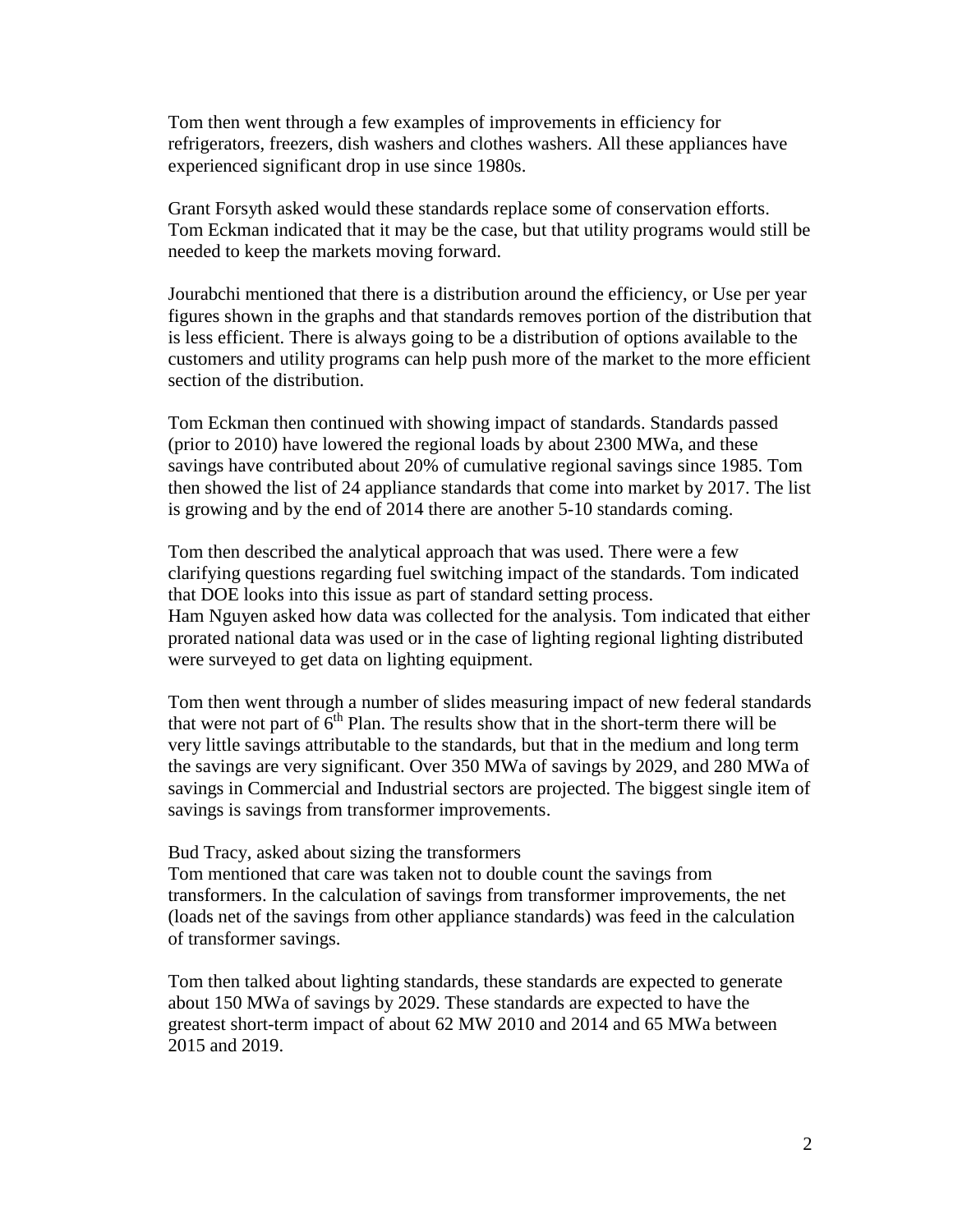Tom then went through a few examples of improvements in efficiency for refrigerators, freezers, dish washers and clothes washers. All these appliances have experienced significant drop in use since 1980s.

Grant Forsyth asked would these standards replace some of conservation efforts. Tom Eckman indicated that it may be the case, but that utility programs would still be needed to keep the markets moving forward.

Jourabchi mentioned that there is a distribution around the efficiency, or Use per year figures shown in the graphs and that standards removes portion of the distribution that is less efficient. There is always going to be a distribution of options available to the customers and utility programs can help push more of the market to the more efficient section of the distribution.

Tom Eckman then continued with showing impact of standards. Standards passed (prior to 2010) have lowered the regional loads by about 2300 MWa, and these savings have contributed about 20% of cumulative regional savings since 1985. Tom then showed the list of 24 appliance standards that come into market by 2017. The list is growing and by the end of 2014 there are another 5-10 standards coming.

Tom then described the analytical approach that was used. There were a few clarifying questions regarding fuel switching impact of the standards. Tom indicated that DOE looks into this issue as part of standard setting process. Ham Nguyen asked how data was collected for the analysis. Tom indicated that either prorated national data was used or in the case of lighting regional lighting distributed were surveyed to get data on lighting equipment.

Tom then went through a number of slides measuring impact of new federal standards that were not part of  $6<sup>th</sup>$  Plan. The results show that in the short-term there will be very little savings attributable to the standards, but that in the medium and long term the savings are very significant. Over 350 MWa of savings by 2029, and 280 MWa of savings in Commercial and Industrial sectors are projected. The biggest single item of savings is savings from transformer improvements.

Bud Tracy, asked about sizing the transformers

Tom mentioned that care was taken not to double count the savings from transformers. In the calculation of savings from transformer improvements, the net (loads net of the savings from other appliance standards) was feed in the calculation of transformer savings.

Tom then talked about lighting standards, these standards are expected to generate about 150 MWa of savings by 2029. These standards are expected to have the greatest short-term impact of about 62 MW 2010 and 2014 and 65 MWa between 2015 and 2019.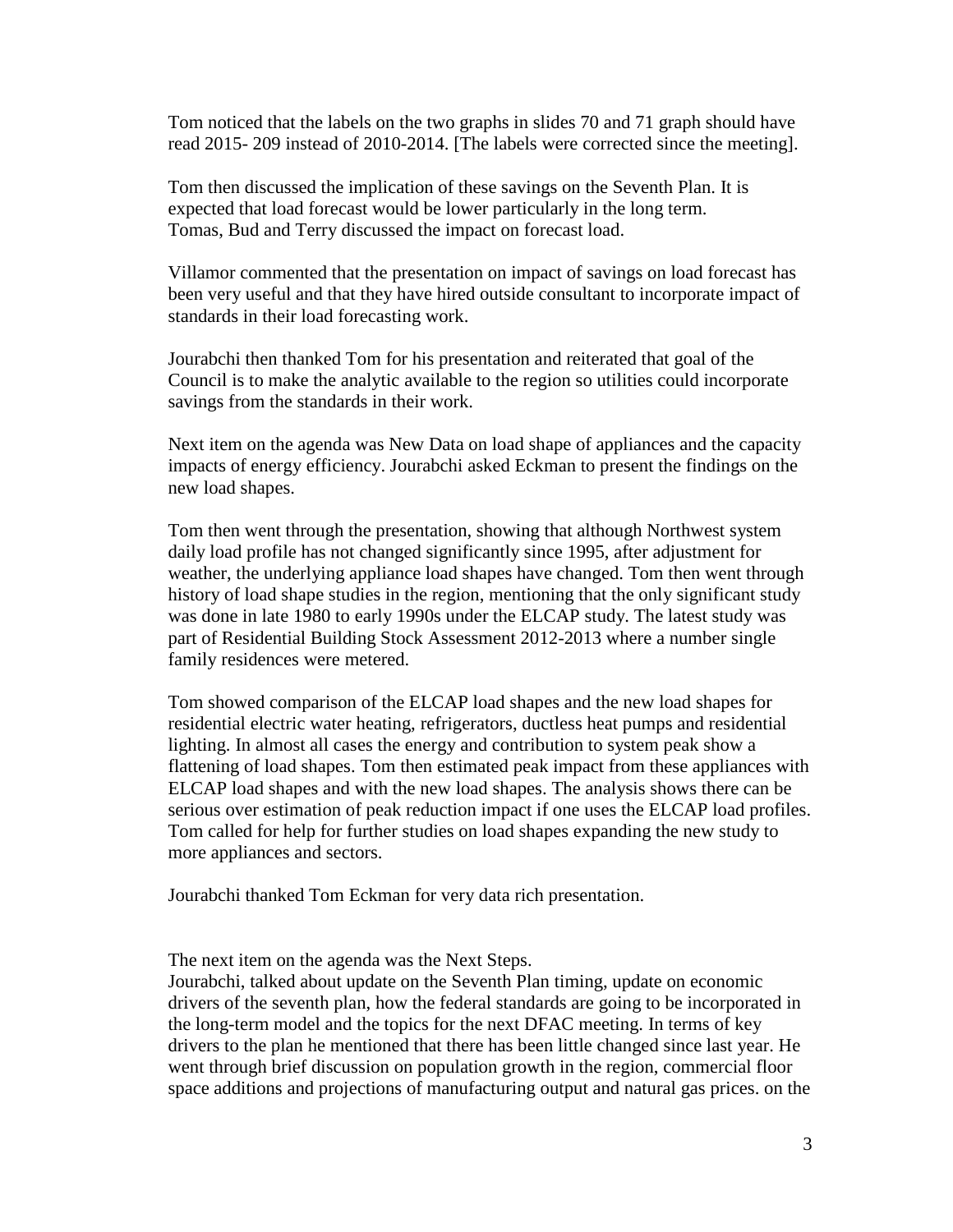Tom noticed that the labels on the two graphs in slides 70 and 71 graph should have read 2015- 209 instead of 2010-2014. [The labels were corrected since the meeting].

Tom then discussed the implication of these savings on the Seventh Plan. It is expected that load forecast would be lower particularly in the long term. Tomas, Bud and Terry discussed the impact on forecast load.

Villamor commented that the presentation on impact of savings on load forecast has been very useful and that they have hired outside consultant to incorporate impact of standards in their load forecasting work.

Jourabchi then thanked Tom for his presentation and reiterated that goal of the Council is to make the analytic available to the region so utilities could incorporate savings from the standards in their work.

Next item on the agenda was New Data on load shape of appliances and the capacity impacts of energy efficiency. Jourabchi asked Eckman to present the findings on the new load shapes.

Tom then went through the presentation, showing that although Northwest system daily load profile has not changed significantly since 1995, after adjustment for weather, the underlying appliance load shapes have changed. Tom then went through history of load shape studies in the region, mentioning that the only significant study was done in late 1980 to early 1990s under the ELCAP study. The latest study was part of Residential Building Stock Assessment 2012-2013 where a number single family residences were metered.

Tom showed comparison of the ELCAP load shapes and the new load shapes for residential electric water heating, refrigerators, ductless heat pumps and residential lighting. In almost all cases the energy and contribution to system peak show a flattening of load shapes. Tom then estimated peak impact from these appliances with ELCAP load shapes and with the new load shapes. The analysis shows there can be serious over estimation of peak reduction impact if one uses the ELCAP load profiles. Tom called for help for further studies on load shapes expanding the new study to more appliances and sectors.

Jourabchi thanked Tom Eckman for very data rich presentation.

The next item on the agenda was the Next Steps.

Jourabchi, talked about update on the Seventh Plan timing, update on economic drivers of the seventh plan, how the federal standards are going to be incorporated in the long-term model and the topics for the next DFAC meeting. In terms of key drivers to the plan he mentioned that there has been little changed since last year. He went through brief discussion on population growth in the region, commercial floor space additions and projections of manufacturing output and natural gas prices. on the